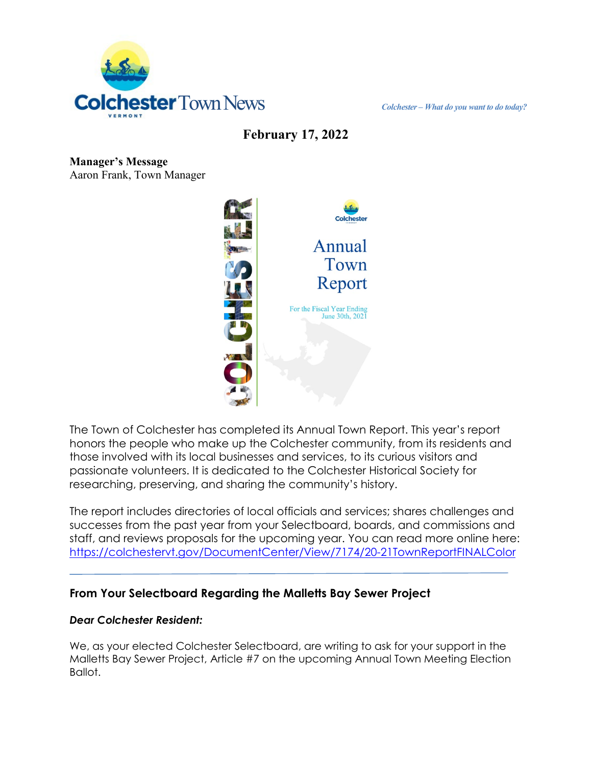

**February 17, 2022**

**Manager's Message** Aaron Frank, Town Manager



The Town of Colchester has completed its Annual Town Report. This year's report honors the people who make up the Colchester community, from its residents and those involved with its local businesses and services, to its curious visitors and passionate volunteers. It is dedicated to the Colchester Historical Society for researching, preserving, and sharing the community's history.

The report includes directories of local officials and services; shares challenges and successes from the past year from your Selectboard, boards, and commissions and staff, and reviews proposals for the upcoming year. You can read more online here: <https://colchestervt.gov/DocumentCenter/View/7174/20-21TownReportFINALColor>

## **From Your Selectboard Regarding the Malletts Bay Sewer Project**

#### *Dear Colchester Resident:*

We, as your elected Colchester Selectboard, are writing to ask for your support in the Malletts Bay Sewer Project, Article #7 on the upcoming Annual Town Meeting Election Ballot.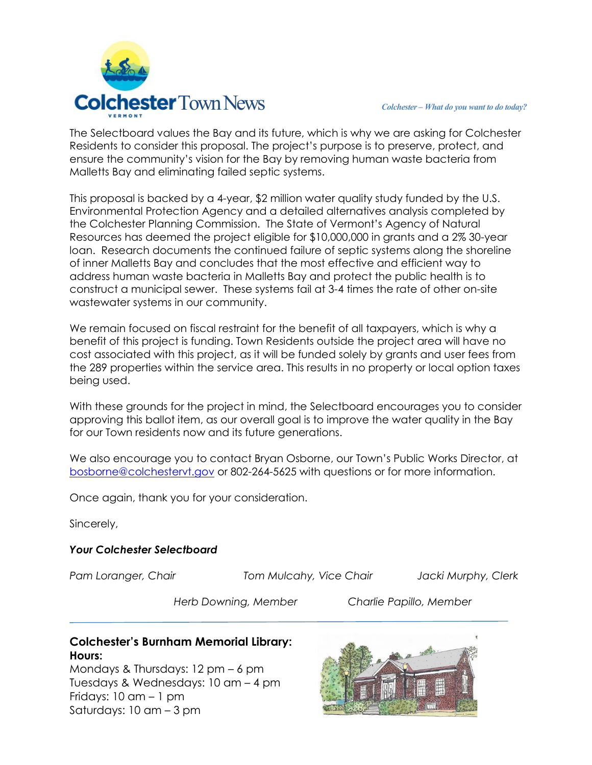

The Selectboard values the Bay and its future, which is why we are asking for Colchester Residents to consider this proposal. The project's purpose is to preserve, protect, and ensure the community's vision for the Bay by removing human waste bacteria from Malletts Bay and eliminating failed septic systems.

This proposal is backed by a 4-year, \$2 million water quality study funded by the U.S. Environmental Protection Agency and a detailed alternatives analysis completed by the Colchester Planning Commission. The State of Vermont's Agency of Natural Resources has deemed the project eligible for \$10,000,000 in grants and a 2% 30-year loan. Research documents the continued failure of septic systems along the shoreline of inner Malletts Bay and concludes that the most effective and efficient way to address human waste bacteria in Malletts Bay and protect the public health is to construct a municipal sewer. These systems fail at 3-4 times the rate of other on-site wastewater systems in our community.

We remain focused on fiscal restraint for the benefit of all taxpayers, which is why a benefit of this project is funding. Town Residents outside the project area will have no cost associated with this project, as it will be funded solely by grants and user fees from the 289 properties within the service area. This results in no property or local option taxes being used.

With these grounds for the project in mind, the Selectboard encourages you to consider approving this ballot item, as our overall goal is to improve the water quality in the Bay for our Town residents now and its future generations.

We also encourage you to contact Bryan Osborne, our Town's Public Works Director, at [bosborne@colchestervt.gov](mailto:bosborne@colchestervt.gov) or 802-264-5625 with questions or for more information.

Once again, thank you for your consideration.

Sincerely,

#### *Your Colchester Selectboard*

*Pam Loranger, Chair Tom Mulcahy, Vice Chair Jacki Murphy, Clerk*

*Herb Downing, Member Charlie Papillo, Member*

### **Colchester's Burnham Memorial Library: Hours:**

Mondays & Thursdays: 12 pm – 6 pm Tuesdays & Wednesdays: 10 am – 4 pm Fridays: 10 am – 1 pm Saturdays: 10 am – 3 pm

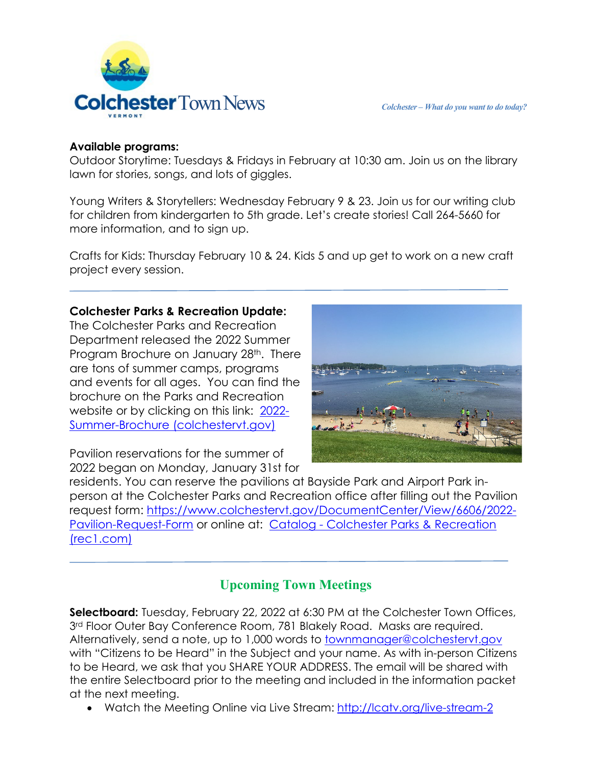

#### **Available programs:**

Outdoor Storytime: Tuesdays & Fridays in February at 10:30 am. Join us on the library lawn for stories, songs, and lots of giggles.

Young Writers & Storytellers: Wednesday February 9 & 23. Join us for our writing club for children from kindergarten to 5th grade. Let's create stories! Call 264-5660 for more information, and to sign up.

Crafts for Kids: Thursday February 10 & 24. Kids 5 and up get to work on a new craft project every session.

## **Colchester Parks & Recreation Update:**

The Colchester Parks and Recreation Department released the 2022 Summer Program Brochure on January 28<sup>th</sup>. There are tons of summer camps, programs and events for all ages. You can find the brochure on the Parks and Recreation website or by clicking on this link: [2022-](https://www.colchestervt.gov/DocumentCenter/View/7121/2022-Summer-Brochure) [Summer-Brochure \(colchestervt.gov\)](https://www.colchestervt.gov/DocumentCenter/View/7121/2022-Summer-Brochure)

Pavilion reservations for the summer of 2022 began on Monday, January 31st for

residents. You can reserve the pavilions at Bayside Park and Airport Park inperson at the Colchester Parks and Recreation office after filling out the Pavilion request form: [https://www.colchestervt.gov/DocumentCenter/View/6606/2022-](https://www.colchestervt.gov/DocumentCenter/View/6606/2022-Pavilion-Request-Form) [Pavilion-Request-Form](https://www.colchestervt.gov/DocumentCenter/View/6606/2022-Pavilion-Request-Form) or online at: Catalog - [Colchester Parks & Recreation](https://secure.rec1.com/VT/colchester-vt/catalog)  [\(rec1.com\)](https://secure.rec1.com/VT/colchester-vt/catalog)

# **Upcoming Town Meetings**

**Selectboard:** Tuesday, February 22, 2022 at 6:30 PM at the Colchester Town Offices, 3<sup>rd</sup> Floor Outer Bay Conference Room, 781 Blakely Road. Masks are required. Alternatively, send a note, up to 1,000 words to [townmanager@colchestervt.gov](mailto:townmanager@colchestervt.gov) with "Citizens to be Heard" in the Subject and your name. As with in-person Citizens to be Heard, we ask that you SHARE YOUR ADDRESS. The email will be shared with the entire Selectboard prior to the meeting and included in the information packet at the next meeting.

• Watch the Meeting Online via Live Stream:<http://lcatv.org/live-stream-2>